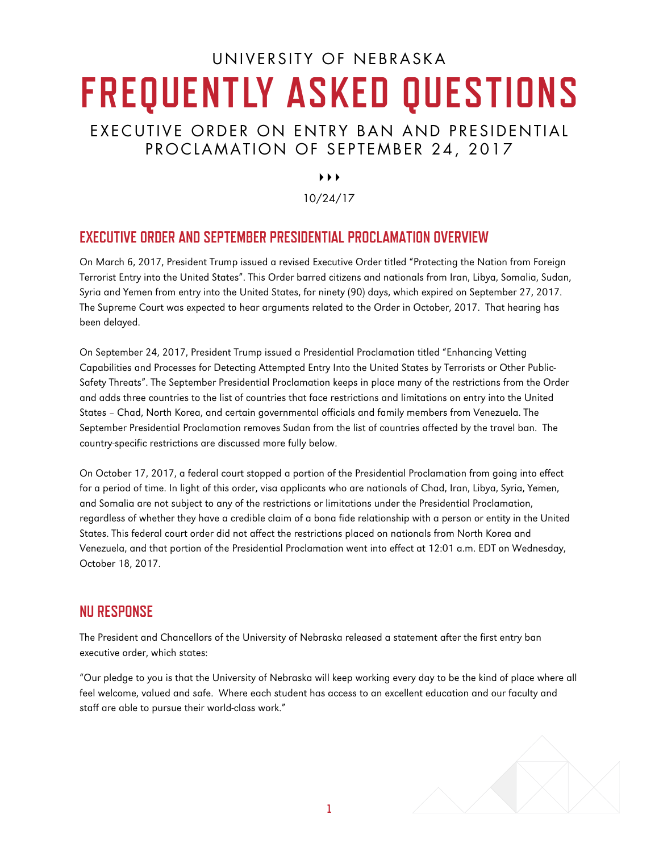# UN IVERSITY OF NEBRASKA **FREQUENTLY ASKED QUESTIONS** EXECUTIVE ORDER ON ENTRY BAN AND PRESIDENTIAL

## PROCLAMATION OF SEPTEMBER 24, 2017

 $\rightarrow$   $\rightarrow$ 

10/24/17

## **EXECUTIVE ORDER AND SEPTEMBER PRESIDENTIAL PROCLAMATION OVERVIEW**

On March 6, 2017, President Trump issued a revised Executive Order titled "Protecting the Nation from Foreign Terrorist Entry into the United States". This Order barred citizens and nationals from Iran, Libya, Somalia, Sudan, Syria and Yemen from entry into the United States, for ninety (90) days, which expired on September 27, 2017. The Supreme Court was expected to hear arguments related to the Order in October, 2017. That hearing has been delayed.

On September 24, 2017, President Trump issued a Presidential Proclamation titled "Enhancing Vetting Capabilities and Processes for Detecting Attempted Entry Into the United States by Terrorists or Other Public-Safety Threats". The September Presidential Proclamation keeps in place many of the restrictions from the Order and adds three countries to the list of countries that face restrictions and limitations on entry into the United States – Chad, North Korea, and certain governmental officials and family members from Venezuela. The September Presidential Proclamation removes Sudan from the list of countries affected by the travel ban. The country-specific restrictions are discussed more fully below.

On October 17, 2017, a federal court stopped a portion of the Presidential Proclamation from going into effect for a period of time. In light of this order, visa applicants who are nationals of Chad, Iran, Libya, Syria, Yemen, and Somalia are not subject to any of the restrictions or limitations under the Presidential Proclamation, regardless of whether they have a credible claim of a bona fide relationship with a person or entity in the United States. This federal court order did not affect the restrictions placed on nationals from North Korea and Venezuela, and that portion of the Presidential Proclamation went into effect at 12:01 a.m. EDT on Wednesday, October 18, 2017.

## **NU RESPONSE**

The President and Chancellors of the University of Nebraska released a statement after the first entry ban executive order, which states:

"Our pledge to you is that the University of Nebraska will keep working every day to be the kind of place where all feel welcome, valued and safe. Where each student has access to an excellent education and our faculty and staff are able to pursue their world-class work."

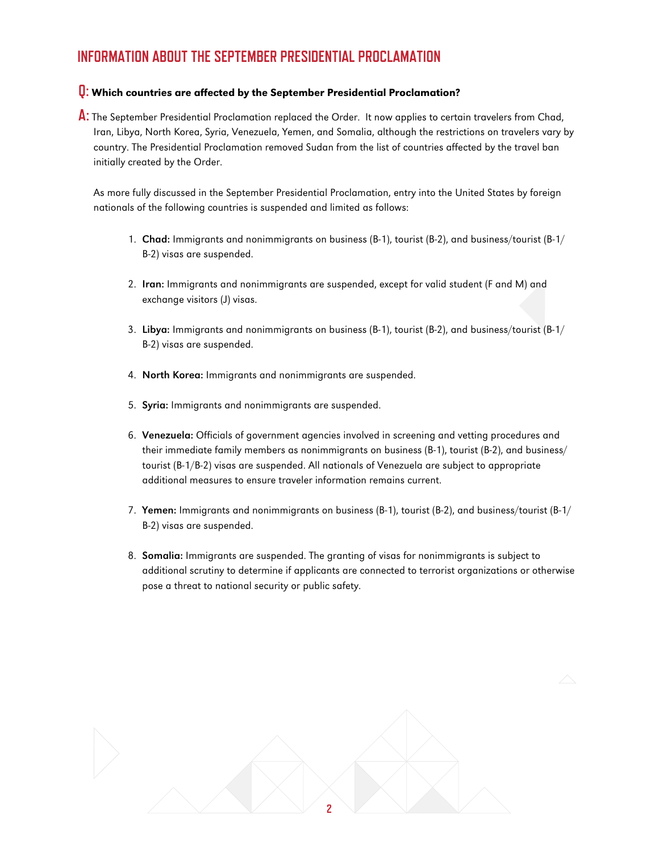## **INFORMATION ABOUT THE SEPTEMBER PRESIDENTIAL PROCLAMATION**

## **Q:** Which countries are affected by the September Presidential Proclamation?

Iran, Libya, North Korea, Syria, Venezuela, Yemen, and Somalia, although the restrictions on travelers vary by country. The Presidential Proclamation removed Sudan from the list of countries affected by the travel ban initially created by the Order. A: The September Presidential Proclamation replaced the Order. It now applies to certain travelers from Chad,

As more fully discussed in the September Presidential Proclamation, entry into the United States by foreign nationals of the following countries is suspended and limited as follows:

- 1. Chad: Immigrants and nonimmigrants on business (B-1), tourist (B-2), and business/tourist (B-1/ B-2) visas are suspended.
- 2. Iran: Immigrants and nonimmigrants are suspended, except for valid student (F and M) and exchange visitors (J) visas.
- 3. Libya: Immigrants and nonimmigrants on business (B-1), tourist (B-2), and business/tourist (B-1/ B-2) visas are suspended.
- 4. North Korea: Immigrants and nonimmigrants are suspended.
- 5. Syria: Immigrants and nonimmigrants are suspended.
- 6. Venezuela: Officials of government agencies involved in screening and vetting procedures and their immediate family members as nonimmigrants on business (B-1), tourist (B-2), and business/ tourist (B-1/B-2) visas are suspended. All nationals of Venezuela are subject to appropriate additional measures to ensure traveler information remains current.
- 7. Yemen: Immigrants and nonimmigrants on business (B-1), tourist (B-2), and business/tourist (B-1/ B-2) visas are suspended.
- 8. Somalia: Immigrants are suspended. The granting of visas for nonimmigrants is subject to additional scrutiny to determine if applicants are connected to terrorist organizations or otherwise pose a threat to national security or public safety.

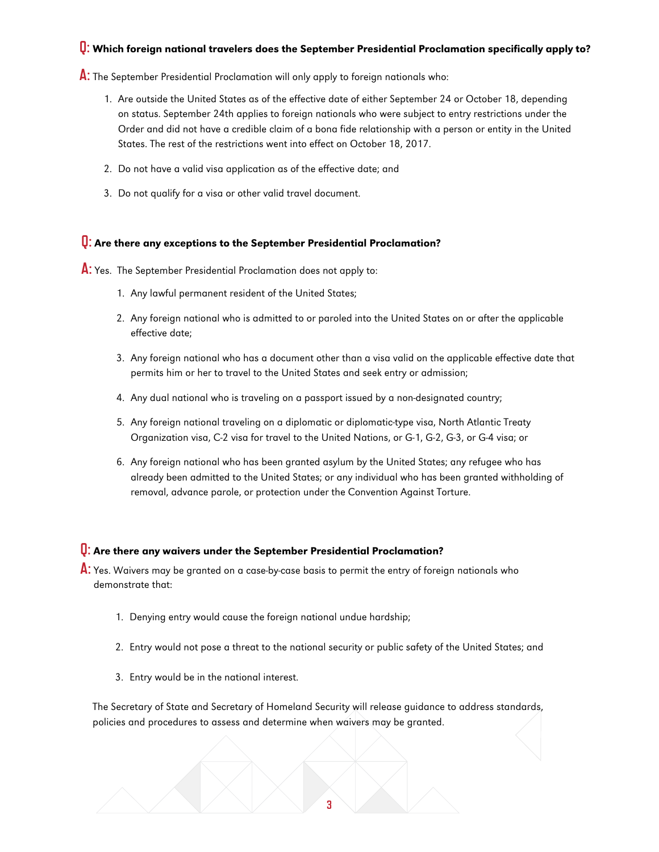## **Q:** Which foreign national travelers does the September Presidential Proclamation specifically apply to?

**A:** The September Presidential Proclamation will only apply to foreign nationals who:

- 1. Are outside the United States as of the effective date of either September 24 or October 18, depending on status. September 24th applies to foreign nationals who were subject to entry restrictions under the Order and did not have a credible claim of a bona fide relationship with a person or entity in the United States. The rest of the restrictions went into effect on October 18, 2017.
- 2. Do not have a valid visa application as of the effective date; and
- 3. Do not qualify for a visa or other valid travel document.

## **Q:** Are there any exceptions to the September Presidential Proclamation?

**A:** Yes. The September Presidential Proclamation does not apply to:

- 1. Any lawful permanent resident of the United States;
- 2. Any foreign national who is admitted to or paroled into the United States on or after the applicable effective date;
- 3. Any foreign national who has a document other than a visa valid on the applicable effective date that permits him or her to travel to the United States and seek entry or admission;
- 4. Any dual national who is traveling on a passport issued by a non-designated country;
- 5. Any foreign national traveling on a diplomatic or diplomatic-type visa, North Atlantic Treaty Organization visa, C-2 visa for travel to the United Nations, or G-1, G-2, G-3, or G-4 visa; or
- 6. Any foreign national who has been granted asylum by the United States; any refugee who has already been admitted to the United States; or any individual who has been granted withholding of removal, advance parole, or protection under the Convention Against Torture.

#### **Q:** Are there any waivers under the September Presidential Proclamation?

A: Yes. Waivers may be granted on a case-by-case basis to permit the entry of foreign nationals who demonstrate that:

- 1. Denying entry would cause the foreign national undue hardship;
- 2. Entry would not pose a threat to the national security or public safety of the United States; and
- 3. Entry would be in the national interest.

The Secretary of State and Secretary of Homeland Security will release guidance to address standards, policies and procedures to assess and determine when waivers may be granted.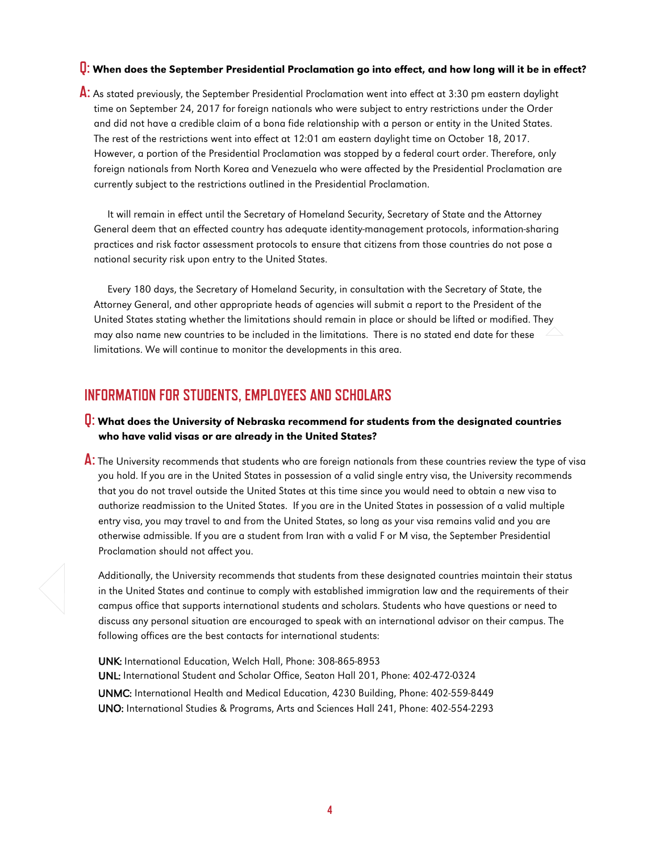## **Q:** When does the September Presidential Proclamation go into effect, and how long will it be in effect?

**A:** As stated previously, the September Presidential Proclamation went into effect at 3:30 pm eastern daylight time on September 24, 2017 for foreign nationals who were subject to entry restrictions under the Order and did not have a credible claim of a bona fide relationship with a person or entity in the United States. The rest of the restrictions went into effect at 12:01 am eastern daylight time on October 18, 2017. However, a portion of the Presidential Proclamation was stopped by a federal court order. Therefore, only foreign nationals from North Korea and Venezuela who were affected by the Presidential Proclamation are currently subject to the restrictions outlined in the Presidential Proclamation.

It will remain in effect until the Secretary of Homeland Security, Secretary of State and the Attorney General deem that an effected country has adequate identity-management protocols, information-sharing practices and risk factor assessment protocols to ensure that citizens from those countries do not pose a national security risk upon entry to the United States.

Every 180 days, the Secretary of Homeland Security, in consultation with the Secretary of State, the Attorney General, and other appropriate heads of agencies will submit a report to the President of the United States stating whether the limitations should remain in place or should be lifted or modified. They may also name new countries to be included in the limitations. There is no stated end date for these limitations. We will continue to monitor the developments in this area.

## **INFORMATION FOR STUDENTS, EMPLOYEES AND SCHOLARS**

## **Q:** What does the University of Nebraska recommend for students from the designated countries who have valid visas or are already in the United States?

**A:** The University recommends that students who are foreign nationals from these countries review the type of visa you hold. If you are in the United States in possession of a valid single entry visa, the University recommends that you do not travel outside the United States at this time since you would need to obtain a new visa to authorize readmission to the United States. If you are in the United States in possession of a valid multiple entry visa, you may travel to and from the United States, so long as your visa remains valid and you are otherwise admissible. If you are a student from Iran with a valid F or M visa, the September Presidential Proclamation should not affect you.

Additionally, the University recommends that students from these designated countries maintain their status in the United States and continue to comply with established immigration law and the requirements of their campus office that supports international students and scholars. Students who have questions or need to discuss any personal situation are encouraged to speak with an international advisor on their campus. The following offices are the best contacts for international students:

UNK: International Education, Welch Hall, Phone: 308-865-8953 UNL: International Student and Scholar Office, Seaton Hall 201, Phone: 402-472-0324 UNMC: International Health and Medical Education, 4230 Building, Phone: 402-559-8449 UNO: International Studies & Programs, Arts and Sciences Hall 241, Phone: 402-554-2293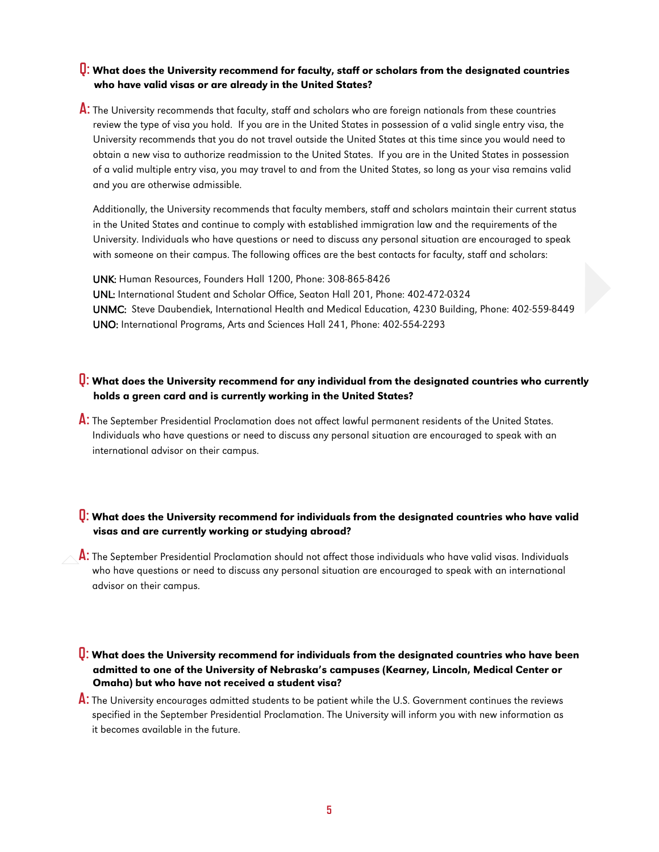#### **Q:** What does the University recommend for faculty, staff or scholars from the designated countries who have valid visas or are already in the United States?

**A:** The University recommends that faculty, staff and scholars who are foreign nationals from these countries review the type of visa you hold. If you are in the United States in possession of a valid single entry visa, the University recommends that you do not travel outside the United States at this time since you would need to obtain a new visa to authorize readmission to the United States. If you are in the United States in possession of a valid multiple entry visa, you may travel to and from the United States, so long as your visa remains valid and you are otherwise admissible.

Additionally, the University recommends that faculty members, staff and scholars maintain their current status in the United States and continue to comply with established immigration law and the requirements of the University. Individuals who have questions or need to discuss any personal situation are encouraged to speak with someone on their campus. The following offices are the best contacts for faculty, staff and scholars:

UNK: Human Resources, Founders Hall 1200, Phone: 308-865-8426 UNL: International Student and Scholar Office, Seaton Hall 201, Phone: 402-472-0324 UNMC: Steve Daubendiek, International Health and Medical Education, 4230 Building, Phone: 402-559-8449 UNO: International Programs, Arts and Sciences Hall 241, Phone: 402-554-2293

## **Q:** What does the University recommend for any individual from the designated countries who currently holds a green card and is currently working in the United States?

**A:** The September Presidential Proclamation does not affect lawful permanent residents of the United States. Individuals who have questions or need to discuss any personal situation are encouraged to speak with an international advisor on their campus.

### **Q:** What does the University recommend for individuals from the designated countries who have valid visas and are currently working or studying abroad?

**A:** The September Presidential Proclamation should not affect those individuals who have valid visas. Individuals who have questions or need to discuss any personal situation are encouraged to speak with an international advisor on their campus.

#### **Q:** What does the University recommend for individuals from the designated countries who have been admitted to one of the University of Nebraska's campuses (Kearney, Lincoln, Medical Center or Omaha) but who have not received a student visa?

**A:** The University encourages admitted students to be patient while the U.S. Government continues the reviews specified in the September Presidential Proclamation. The University will inform you with new information as it becomes available in the future.